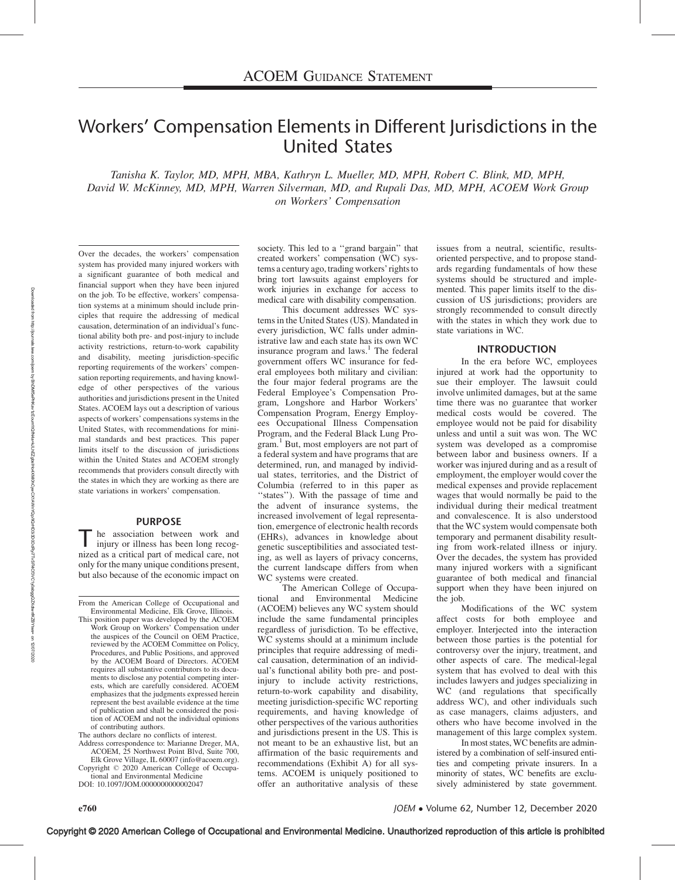# Workers' Compensation Elements in Different Jurisdictions in the United States

Tanisha K. Taylor, MD, MPH, MBA, Kathryn L. Mueller, MD, MPH, Robert C. Blink, MD, MPH, David W. McKinney, MD, MPH, Warren Silverman, MD, and Rupali Das, MD, MPH, ACOEM Work Group on Workers' Compensation

Over the decades, the workers' compensation system has provided many injured workers with a significant guarantee of both medical and financial support when they have been injured on the job. To be effective, workers' compensation systems at a minimum should include principles that require the addressing of medical causation, determination of an individual's functional ability both pre- and post-injury to include activity restrictions, return-to-work capability and disability, meeting jurisdiction-specific reporting requirements of the workers' compensation reporting requirements, and having knowledge of other perspectives of the various authorities and jurisdictions present in the United States. ACOEM lays out a description of various aspects of workers' compensations systems in the United States, with recommendations for minimal standards and best practices. This paper limits itself to the discussion of jurisdictions within the United States and ACOEM strongly recommends that providers consult directly with the states in which they are working as there are state variations in workers' compensation.

## PURPOSE

he association between work and injury or illness has been long recognized as a critical part of medical care, not only for the many unique conditions present, but also because of the economic impact on

From the American College of Occupational and Environmental Medicine, Elk Grove, Illinois.

The authors declare no conflicts of interest.

Address correspondence to: Marianne Dreger, MA, ACOEM, 25 Northwest Point Blvd, Suite 700, Elk Grove Village, IL 60007 ([info@acoem.org](mailto:info@acoem.org)).

Copyright © 2020 American College of Occupational and Environmental Medicine

DOI: 10.1097/JOM.0000000000002047

society. This led to a ''grand bargain'' that created workers' compensation (WC) systems a century ago, trading workers' rights to bring tort lawsuits against employers for work injuries in exchange for access to medical care with disability compensation.

This document addresses WC systems in the United States (US). Mandated in every jurisdiction, WC falls under administrative law and each state has its own WC insurance program and  $laws.<sup>1</sup>$  The federal government offers WC insurance for federal employees both military and civilian: the four major federal programs are the Federal Employee's Compensation Program, Longshore and Harbor Workers' Compensation Program, Energy Employees Occupational Illness Compensation Program, and the Federal Black Lung Program.<sup>1</sup> But, most employers are not part of a federal system and have programs that are determined, run, and managed by individual states, territories, and the District of Columbia (referred to in this paper as "states"). With the passage of time and the advent of insurance systems, the increased involvement of legal representation, emergence of electronic health records (EHRs), advances in knowledge about genetic susceptibilities and associated testing, as well as layers of privacy concerns, the current landscape differs from when WC systems were created.

The American College of Occupational and Environmental Medicine (ACOEM) believes any WC system should include the same fundamental principles regardless of jurisdiction. To be effective, WC systems should at a minimum include principles that require addressing of medical causation, determination of an individual's functional ability both pre- and postinjury to include activity restrictions, return-to-work capability and disability, meeting jurisdiction-specific WC reporting requirements, and having knowledge of other perspectives of the various authorities and jurisdictions present in the US. This is not meant to be an exhaustive list, but an affirmation of the basic requirements and recommendations (Exhibit A) for all systems. ACOEM is uniquely positioned to offer an authoritative analysis of these

issues from a neutral, scientific, resultsoriented perspective, and to propose standards regarding fundamentals of how these systems should be structured and implemented. This paper limits itself to the discussion of US jurisdictions; providers are strongly recommended to consult directly with the states in which they work due to state variations in WC.

#### INTRODUCTION

In the era before WC, employees injured at work had the opportunity to sue their employer. The lawsuit could involve unlimited damages, but at the same time there was no guarantee that worker medical costs would be covered. The employee would not be paid for disability unless and until a suit was won. The WC system was developed as a compromise between labor and business owners. If a worker was injured during and as a result of employment, the employer would cover the medical expenses and provide replacement wages that would normally be paid to the individual during their medical treatment and convalescence. It is also understood that the WC system would compensate both temporary and permanent disability resulting from work-related illness or injury. Over the decades, the system has provided many injured workers with a significant guarantee of both medical and financial support when they have been injured on the job.

Modifications of the WC system affect costs for both employee and employer. Interjected into the interaction between those parties is the potential for controversy over the injury, treatment, and other aspects of care. The medical-legal system that has evolved to deal with this includes lawyers and judges specializing in WC (and regulations that specifically address WC), and other individuals such as case managers, claims adjusters, and others who have become involved in the management of this large complex system.

In most states, WC benefits are administered by a combination of self-insured entities and competing private insurers. In a minority of states, WC benefits are exclusively administered by state government.

This position paper was developed by the ACOEM Work Group on Workers' Compensation under the auspices of the Council on OEM Practice, reviewed by the ACOEM Committee on Policy, Procedures, and Public Positions, and approved by the ACOEM Board of Directors. ACOEM requires all substantive contributors to its documents to disclose any potential competing interests, which are carefully considered. ACOEM emphasizes that the judgments expressed herein represent the best available evidence at the time of publication and shall be considered the position of ACOEM and not the individual opinions of contributing authors.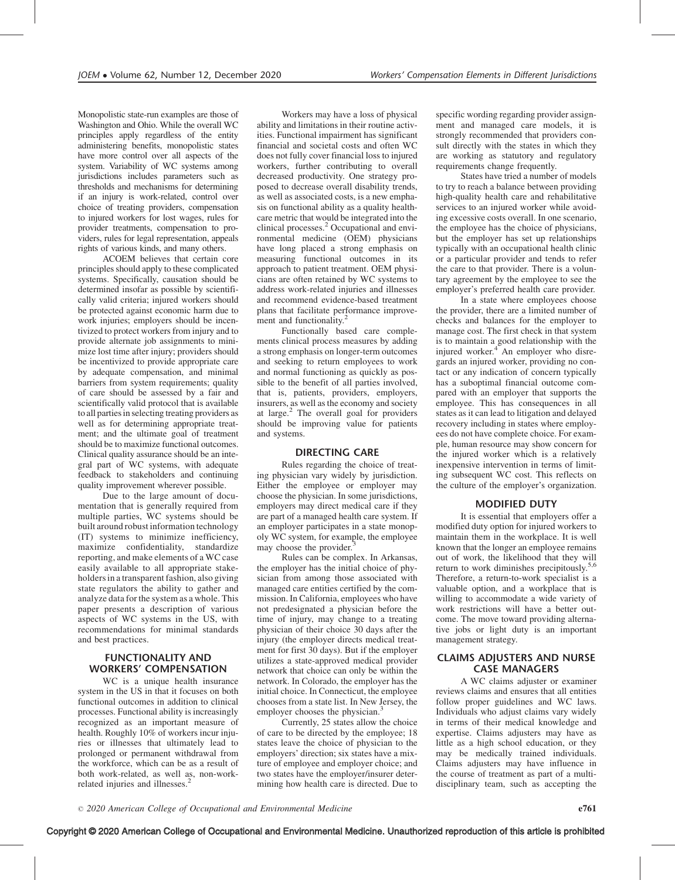Monopolistic state-run examples are those of Washington and Ohio. While the overall WC principles apply regardless of the entity administering benefits, monopolistic states have more control over all aspects of the system. Variability of WC systems among jurisdictions includes parameters such as thresholds and mechanisms for determining if an injury is work-related, control over choice of treating providers, compensation to injured workers for lost wages, rules for provider treatments, compensation to providers, rules for legal representation, appeals rights of various kinds, and many others.

ACOEM believes that certain core principles should apply to these complicated systems. Specifically, causation should be determined insofar as possible by scientifically valid criteria; injured workers should be protected against economic harm due to work injuries; employers should be incentivized to protect workers from injury and to provide alternate job assignments to minimize lost time after injury; providers should be incentivized to provide appropriate care by adequate compensation, and minimal barriers from system requirements; quality of care should be assessed by a fair and scientifically valid protocol that is available to all parties in selecting treating providers as well as for determining appropriate treatment; and the ultimate goal of treatment should be to maximize functional outcomes. Clinical quality assurance should be an integral part of WC systems, with adequate feedback to stakeholders and continuing quality improvement wherever possible.

Due to the large amount of documentation that is generally required from multiple parties, WC systems should be built around robust information technology (IT) systems to minimize inefficiency, maximize confidentiality, standardize reporting, and make elements of a WC case easily available to all appropriate stakeholders in a transparent fashion, also giving state regulators the ability to gather and analyze data for the system as a whole. This paper presents a description of various aspects of WC systems in the US, with recommendations for minimal standards and best practices.

## FUNCTIONALITY AND WORKERS' COMPENSATION

WC is a unique health insurance system in the US in that it focuses on both functional outcomes in addition to clinical processes. Functional ability is increasingly recognized as an important measure of health. Roughly 10% of workers incur injuries or illnesses that ultimately lead to prolonged or permanent withdrawal from the workforce, which can be as a result of both work-related, as well as, non-workrelated injuries and illnesses.<sup>2</sup>

Workers may have a loss of physical ability and limitations in their routine activities. Functional impairment has significant financial and societal costs and often WC does not fully cover financial loss to injured workers, further contributing to overall decreased productivity. One strategy proposed to decrease overall disability trends, as well as associated costs, is a new emphasis on functional ability as a quality healthcare metric that would be integrated into the clinical processes.<sup>2</sup> Occupational and environmental medicine (OEM) physicians have long placed a strong emphasis on measuring functional outcomes in its approach to patient treatment. OEM physicians are often retained by WC systems to address work-related injuries and illnesses and recommend evidence-based treatment plans that facilitate performance improvement and functionality.

Functionally based care complements clinical process measures by adding a strong emphasis on longer-term outcomes and seeking to return employees to work and normal functioning as quickly as possible to the benefit of all parties involved, that is, patients, providers, employers, insurers, as well as the economy and society at large.<sup>2</sup> The overall goal for providers should be improving value for patients and systems.

#### DIRECTING CARE

Rules regarding the choice of treating physician vary widely by jurisdiction. Either the employee or employer may choose the physician. In some jurisdictions, employers may direct medical care if they are part of a managed health care system. If an employer participates in a state monopoly WC system, for example, the employee may choose the provider.

Rules can be complex. In Arkansas, the employer has the initial choice of physician from among those associated with managed care entities certified by the commission. In California, employees who have not predesignated a physician before the time of injury, may change to a treating physician of their choice 30 days after the injury (the employer directs medical treatment for first 30 days). But if the employer utilizes a state-approved medical provider network that choice can only be within the network. In Colorado, the employer has the initial choice. In Connecticut, the employee chooses from a state list. In New Jersey, the employer chooses the physician.<sup>3</sup>

Currently, 25 states allow the choice of care to be directed by the employee; 18 states leave the choice of physician to the employers' direction; six states have a mixture of employee and employer choice; and two states have the employer/insurer determining how health care is directed. Due to specific wording regarding provider assignment and managed care models, it is strongly recommended that providers consult directly with the states in which they are working as statutory and regulatory requirements change frequently.

States have tried a number of models to try to reach a balance between providing high-quality health care and rehabilitative services to an injured worker while avoiding excessive costs overall. In one scenario, the employee has the choice of physicians, but the employer has set up relationships typically with an occupational health clinic or a particular provider and tends to refer the care to that provider. There is a voluntary agreement by the employee to see the employer's preferred health care provider.

In a state where employees choose the provider, there are a limited number of checks and balances for the employer to manage cost. The first check in that system is to maintain a good relationship with the injured worker.<sup>4</sup> An employer who disregards an injured worker, providing no contact or any indication of concern typically has a suboptimal financial outcome compared with an employer that supports the employee. This has consequences in all states as it can lead to litigation and delayed recovery including in states where employees do not have complete choice. For example, human resource may show concern for the injured worker which is a relatively inexpensive intervention in terms of limiting subsequent WC cost. This reflects on the culture of the employer's organization.

## MODIFIED DUTY

It is essential that employers offer a modified duty option for injured workers to maintain them in the workplace. It is well known that the longer an employee remains out of work, the likelihood that they will return to work diminishes precipitously.<sup>5,6</sup> Therefore, a return-to-work specialist is a valuable option, and a workplace that is willing to accommodate a wide variety of work restrictions will have a better outcome. The move toward providing alternative jobs or light duty is an important management strategy.

## CLAIMS ADJUSTERS AND NURSE CASE MANAGERS

A WC claims adjuster or examiner reviews claims and ensures that all entities follow proper guidelines and WC laws. Individuals who adjust claims vary widely in terms of their medical knowledge and expertise. Claims adjusters may have as little as a high school education, or they may be medically trained individuals. Claims adjusters may have influence in the course of treatment as part of a multidisciplinary team, such as accepting the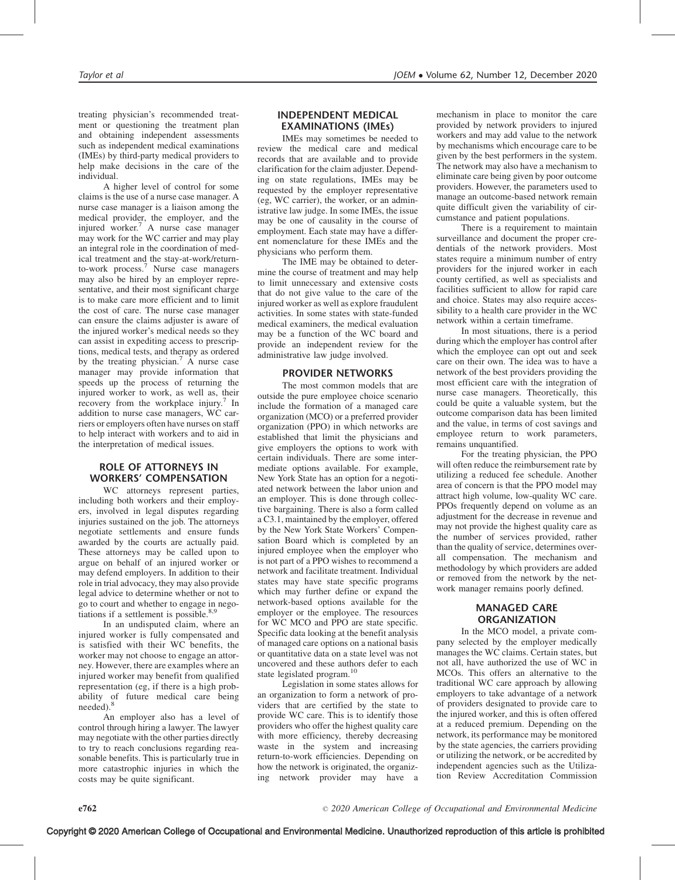treating physician's recommended treatment or questioning the treatment plan and obtaining independent assessments such as independent medical examinations (IMEs) by third-party medical providers to help make decisions in the care of the individual.

A higher level of control for some claims is the use of a nurse case manager. A nurse case manager is a liaison among the medical provider, the employer, and the injured worker.<sup>7</sup> A nurse case manager may work for the WC carrier and may play an integral role in the coordination of medical treatment and the stay-at-work/returnto-work process.<sup>7</sup> Nurse case managers may also be hired by an employer representative, and their most significant charge is to make care more efficient and to limit the cost of care. The nurse case manager can ensure the claims adjuster is aware of the injured worker's medical needs so they can assist in expediting access to prescriptions, medical tests, and therapy as ordered by the treating physician.<sup>7</sup> A nurse case manager may provide information that speeds up the process of returning the injured worker to work, as well as, their recovery from the workplace injury.<sup>7</sup> In addition to nurse case managers, WC carriers or employers often have nurses on staff to help interact with workers and to aid in the interpretation of medical issues.

## ROLE OF ATTORNEYS IN WORKERS' COMPENSATION

WC attorneys represent parties, including both workers and their employers, involved in legal disputes regarding injuries sustained on the job. The attorneys negotiate settlements and ensure funds awarded by the courts are actually paid. These attorneys may be called upon to argue on behalf of an injured worker or may defend employers. In addition to their role in trial advocacy, they may also provide legal advice to determine whether or not to go to court and whether to engage in negotiations if a settlement is possible. $8,9$ 

In an undisputed claim, where an injured worker is fully compensated and is satisfied with their WC benefits, the worker may not choose to engage an attorney. However, there are examples where an injured worker may benefit from qualified representation (eg, if there is a high probability of future medical care being needed).<sup>8</sup>

An employer also has a level of control through hiring a lawyer. The lawyer may negotiate with the other parties directly to try to reach conclusions regarding reasonable benefits. This is particularly true in more catastrophic injuries in which the costs may be quite significant.

## INDEPENDENT MEDICAL EXAMINATIONS (IMEs)

IMEs may sometimes be needed to review the medical care and medical records that are available and to provide clarification for the claim adjuster. Depending on state regulations, IMEs may be requested by the employer representative (eg, WC carrier), the worker, or an administrative law judge. In some IMEs, the issue may be one of causality in the course of employment. Each state may have a different nomenclature for these IMEs and the physicians who perform them.

The IME may be obtained to determine the course of treatment and may help to limit unnecessary and extensive costs that do not give value to the care of the injured worker as well as explore fraudulent activities. In some states with state-funded medical examiners, the medical evaluation may be a function of the WC board and provide an independent review for the administrative law judge involved.

# PROVIDER NETWORKS

The most common models that are outside the pure employee choice scenario include the formation of a managed care organization (MCO) or a preferred provider organization (PPO) in which networks are established that limit the physicians and give employers the options to work with certain individuals. There are some intermediate options available. For example, New York State has an option for a negotiated network between the labor union and an employer. This is done through collective bargaining. There is also a form called a C3.1, maintained by the employer, offered by the New York State Workers' Compensation Board which is completed by an injured employee when the employer who is not part of a PPO wishes to recommend a network and facilitate treatment. Individual states may have state specific programs which may further define or expand the network-based options available for the employer or the employee. The resources for WC MCO and PPO are state specific. Specific data looking at the benefit analysis of managed care options on a national basis or quantitative data on a state level was not uncovered and these authors defer to each state legislated program.<sup>10</sup>

Legislation in some states allows for an organization to form a network of providers that are certified by the state to provide WC care. This is to identify those providers who offer the highest quality care with more efficiency, thereby decreasing waste in the system and increasing return-to-work efficiencies. Depending on how the network is originated, the organizing network provider may have a

mechanism in place to monitor the care provided by network providers to injured workers and may add value to the network by mechanisms which encourage care to be given by the best performers in the system. The network may also have a mechanism to eliminate care being given by poor outcome providers. However, the parameters used to manage an outcome-based network remain quite difficult given the variability of circumstance and patient populations.

There is a requirement to maintain surveillance and document the proper credentials of the network providers. Most states require a minimum number of entry providers for the injured worker in each county certified, as well as specialists and facilities sufficient to allow for rapid care and choice. States may also require accessibility to a health care provider in the WC network within a certain timeframe.

In most situations, there is a period during which the employer has control after which the employee can opt out and seek care on their own. The idea was to have a network of the best providers providing the most efficient care with the integration of nurse case managers. Theoretically, this could be quite a valuable system, but the outcome comparison data has been limited and the value, in terms of cost savings and employee return to work parameters, remains unquantified.

For the treating physician, the PPO will often reduce the reimbursement rate by utilizing a reduced fee schedule. Another area of concern is that the PPO model may attract high volume, low-quality WC care. PPOs frequently depend on volume as an adjustment for the decrease in revenue and may not provide the highest quality care as the number of services provided, rather than the quality of service, determines overall compensation. The mechanism and methodology by which providers are added or removed from the network by the network manager remains poorly defined.

# MANAGED CARE **ORGANIZATION**

In the MCO model, a private company selected by the employer medically manages the WC claims. Certain states, but not all, have authorized the use of WC in MCOs. This offers an alternative to the traditional WC care approach by allowing employers to take advantage of a network of providers designated to provide care to the injured worker, and this is often offered at a reduced premium. Depending on the network, its performance may be monitored by the state agencies, the carriers providing or utilizing the network, or be accredited by independent agencies such as the Utilization Review Accreditation Commission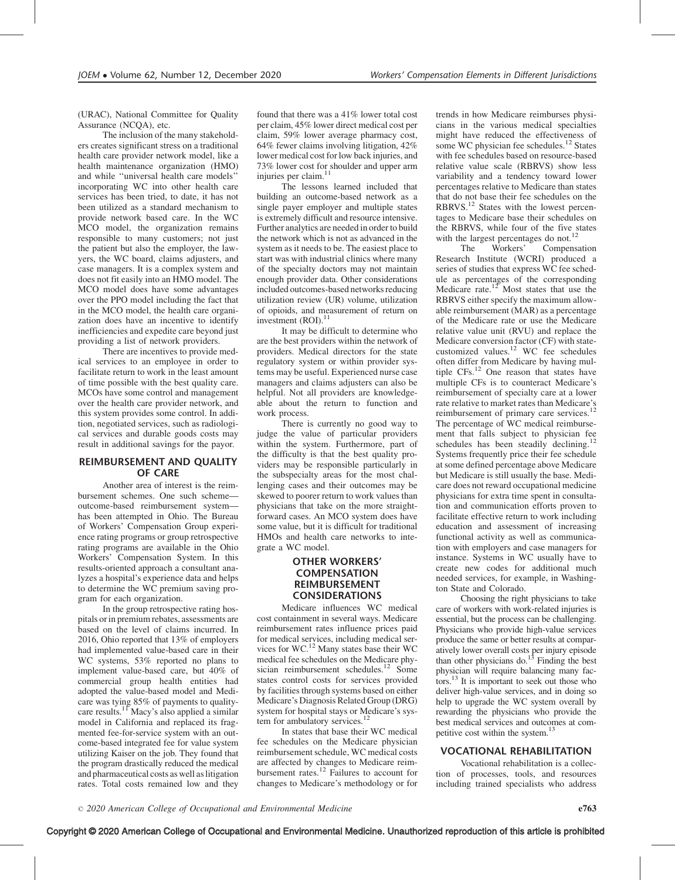(URAC), National Committee for Quality Assurance (NCQA), etc.

The inclusion of the many stakeholders creates significant stress on a traditional health care provider network model, like a health maintenance organization (HMO) and while ''universal health care models'' incorporating WC into other health care services has been tried, to date, it has not been utilized as a standard mechanism to provide network based care. In the WC MCO model, the organization remains responsible to many customers; not just the patient but also the employer, the lawyers, the WC board, claims adjusters, and case managers. It is a complex system and does not fit easily into an HMO model. The MCO model does have some advantages over the PPO model including the fact that in the MCO model, the health care organization does have an incentive to identify inefficiencies and expedite care beyond just providing a list of network providers.

There are incentives to provide medical services to an employee in order to facilitate return to work in the least amount of time possible with the best quality care. MCOs have some control and management over the health care provider network, and this system provides some control. In addition, negotiated services, such as radiological services and durable goods costs may result in additional savings for the payor.

#### REIMBURSEMENT AND QUALITY OF CARE

Another area of interest is the reimbursement schemes. One such scheme outcome-based reimbursement system has been attempted in Ohio. The Bureau of Workers' Compensation Group experience rating programs or group retrospective rating programs are available in the Ohio Workers' Compensation System. In this results-oriented approach a consultant analyzes a hospital's experience data and helps to determine the WC premium saving program for each organization.

In the group retrospective rating hospitals or in premium rebates, assessments are based on the level of claims incurred. In 2016, Ohio reported that 13% of employers had implemented value-based care in their WC systems, 53% reported no plans to implement value-based care, but 40% of commercial group health entities had adopted the value-based model and Medicare was tying 85% of payments to qualitycare results.<sup>11</sup> Macy's also applied a similar model in California and replaced its fragmented fee-for-service system with an outcome-based integrated fee for value system utilizing Kaiser on the job. They found that the program drastically reduced the medical and pharmaceutical costs as well as litigation rates. Total costs remained low and they

found that there was a 41% lower total cost per claim, 45% lower direct medical cost per claim, 59% lower average pharmacy cost, 64% fewer claims involving litigation, 42% lower medical cost for low back injuries, and 73% lower cost for shoulder and upper arm injuries per claim.<sup>11</sup>

The lessons learned included that building an outcome-based network as a single payer employer and multiple states is extremely difficult and resource intensive. Further analytics are needed in order to build the network which is not as advanced in the system as it needs to be. The easiest place to start was with industrial clinics where many of the specialty doctors may not maintain enough provider data. Other considerations included outcomes-based networks reducing utilization review (UR) volume, utilization of opioids, and measurement of return on investment (ROI).

It may be difficult to determine who are the best providers within the network of providers. Medical directors for the state regulatory system or within provider systems may be useful. Experienced nurse case managers and claims adjusters can also be helpful. Not all providers are knowledgeable about the return to function and work process.

There is currently no good way to judge the value of particular providers within the system. Furthermore, part of the difficulty is that the best quality providers may be responsible particularly in the subspecialty areas for the most challenging cases and their outcomes may be skewed to poorer return to work values than physicians that take on the more straightforward cases. An MCO system does have some value, but it is difficult for traditional HMOs and health care networks to integrate a WC model.

## OTHER WORKERS' COMPENSATION REIMBURSEMENT CONSIDERATIONS

Medicare influences WC medical cost containment in several ways. Medicare reimbursement rates influence prices paid for medical services, including medical services for WC.12 Many states base their WC medical fee schedules on the Medicare physician reimbursement schedules.<sup>12</sup> Some states control costs for services provided by facilities through systems based on either Medicare's Diagnosis Related Group (DRG) system for hospital stays or Medicare's system for ambulatory services.<sup>1</sup>

In states that base their WC medical fee schedules on the Medicare physician reimbursement schedule, WC medical costs are affected by changes to Medicare reimbursement rates.<sup>12</sup> Failures to account for changes to Medicare's methodology or for trends in how Medicare reimburses physicians in the various medical specialties might have reduced the effectiveness of some WC physician fee schedules.<sup>12</sup> States with fee schedules based on resource-based relative value scale (RBRVS) show less variability and a tendency toward lower percentages relative to Medicare than states that do not base their fee schedules on the RBRVS.12 States with the lowest percentages to Medicare base their schedules on the RBRVS, while four of the five states with the largest percentages do not.<sup>12</sup><br>The Workers' Compens

The Workers' Compensation Research Institute (WCRI) produced a series of studies that express WC fee schedule as percentages of the corresponding Medicare rate.<sup>12</sup> Most states that use the RBRVS either specify the maximum allowable reimbursement (MAR) as a percentage of the Medicare rate or use the Medicare relative value unit (RVU) and replace the Medicare conversion factor (CF) with statecustomized values.<sup>12</sup> WC fee schedules often differ from Medicare by having multiple CFs.12 One reason that states have multiple CFs is to counteract Medicare's reimbursement of specialty care at a lower rate relative to market rates than Medicare's reimbursement of primary care services.<sup>12</sup> The percentage of WC medical reimbursement that falls subject to physician fee schedules has been steadily declining.<sup>12</sup> Systems frequently price their fee schedule at some defined percentage above Medicare but Medicare is still usually the base. Medicare does not reward occupational medicine physicians for extra time spent in consultation and communication efforts proven to facilitate effective return to work including education and assessment of increasing functional activity as well as communication with employers and case managers for instance. Systems in WC usually have to create new codes for additional much needed services, for example, in Washington State and Colorado.

Choosing the right physicians to take care of workers with work-related injuries is essential, but the process can be challenging. Physicians who provide high-value services produce the same or better results at comparatively lower overall costs per injury episode than other physicians do. $^{13}$  Finding the best physician will require balancing many factors.13 It is important to seek out those who deliver high-value services, and in doing so help to upgrade the WC system overall by rewarding the physicians who provide the best medical services and outcomes at competitive cost within the system.<sup>13</sup>

## VOCATIONAL REHABILITATION

Vocational rehabilitation is a collection of processes, tools, and resources including trained specialists who address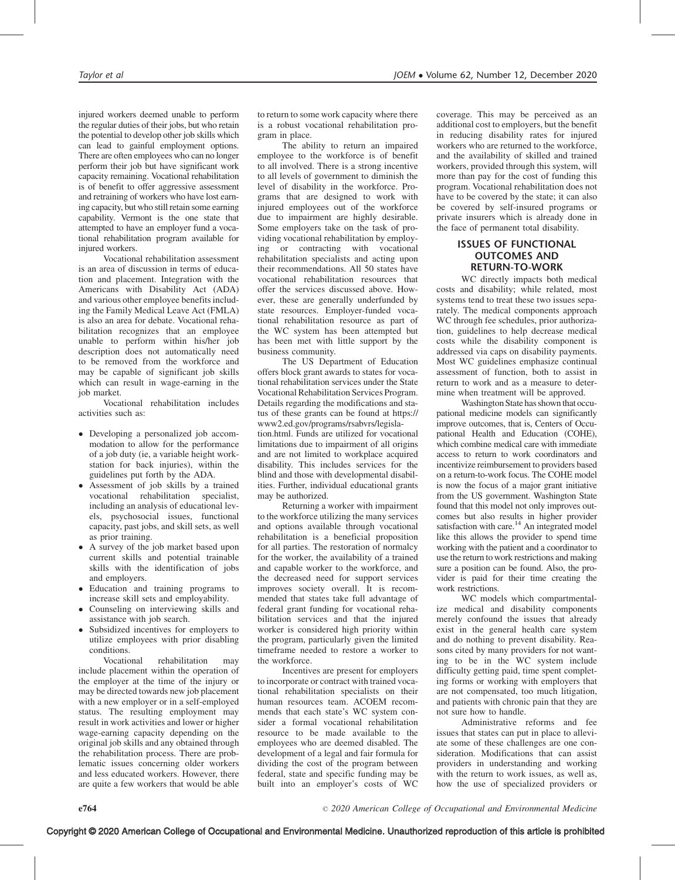injured workers deemed unable to perform the regular duties of their jobs, but who retain the potential to develop other job skills which can lead to gainful employment options. There are often employees who can no longer perform their job but have significant work capacity remaining. Vocational rehabilitation is of benefit to offer aggressive assessment and retraining of workers who have lost earning capacity, but who still retain some earning capability. Vermont is the one state that attempted to have an employer fund a vocational rehabilitation program available for injured workers.

Vocational rehabilitation assessment is an area of discussion in terms of education and placement. Integration with the Americans with Disability Act (ADA) and various other employee benefits including the Family Medical Leave Act (FMLA) is also an area for debate. Vocational rehabilitation recognizes that an employee unable to perform within his/her job description does not automatically need to be removed from the workforce and may be capable of significant job skills which can result in wage-earning in the job market.

Vocational rehabilitation includes activities such as:

- Developing a personalized job accommodation to allow for the performance of a job duty (ie, a variable height workstation for back injuries), within the guidelines put forth by the ADA.
- $\bullet$  Assessment of job skills by a trained vocational rehabilitation specialist, including an analysis of educational levels, psychosocial issues, functional capacity, past jobs, and skill sets, as well as prior training.
- $\bullet$  A survey of the job market based upon current skills and potential trainable skills with the identification of jobs and employers.
- Education and training programs to increase skill sets and employability.
- $\bullet$  Counseling on interviewing skills and assistance with job search.
- $\bullet$  Subsidized incentives for employers to utilize employees with prior disabling conditions.

Vocational rehabilitation may include placement within the operation of the employer at the time of the injury or may be directed towards new job placement with a new employer or in a self-employed status. The resulting employment may result in work activities and lower or higher wage-earning capacity depending on the original job skills and any obtained through the rehabilitation process. There are problematic issues concerning older workers and less educated workers. However, there are quite a few workers that would be able

to return to some work capacity where there is a robust vocational rehabilitation program in place.

The ability to return an impaired employee to the workforce is of benefit to all involved. There is a strong incentive to all levels of government to diminish the level of disability in the workforce. Programs that are designed to work with injured employees out of the workforce due to impairment are highly desirable. Some employers take on the task of providing vocational rehabilitation by employing or contracting with vocational rehabilitation specialists and acting upon their recommendations. All 50 states have vocational rehabilitation resources that offer the services discussed above. However, these are generally underfunded by state resources. Employer-funded vocational rehabilitation resource as part of the WC system has been attempted but has been met with little support by the business community.

The US Department of Education offers block grant awards to states for vocational rehabilitation services under the State Vocational Rehabilitation Services Program. Details regarding the modifications and status of these grants can be found at [https://](https://www2.ed.gov/programs/rsabvrs/legislation.html) [www2.ed.gov/programs/rsabvrs/legisla](https://www2.ed.gov/programs/rsabvrs/legislation.html)[tion.html](https://www2.ed.gov/programs/rsabvrs/legislation.html). Funds are utilized for vocational limitations due to impairment of all origins and are not limited to workplace acquired disability. This includes services for the blind and those with developmental disabilities. Further, individual educational grants may be authorized.

Returning a worker with impairment to the workforce utilizing the many services and options available through vocational rehabilitation is a beneficial proposition for all parties. The restoration of normalcy for the worker, the availability of a trained and capable worker to the workforce, and the decreased need for support services improves society overall. It is recommended that states take full advantage of federal grant funding for vocational rehabilitation services and that the injured worker is considered high priority within the program, particularly given the limited timeframe needed to restore a worker to the workforce.

Incentives are present for employers to incorporate or contract with trained vocational rehabilitation specialists on their human resources team. ACOEM recommends that each state's WC system consider a formal vocational rehabilitation resource to be made available to the employees who are deemed disabled. The development of a legal and fair formula for dividing the cost of the program between federal, state and specific funding may be built into an employer's costs of WC

coverage. This may be perceived as an additional cost to employers, but the benefit in reducing disability rates for injured workers who are returned to the workforce, and the availability of skilled and trained workers, provided through this system, will more than pay for the cost of funding this program. Vocational rehabilitation does not have to be covered by the state; it can also be covered by self-insured programs or private insurers which is already done in the face of permanent total disability.

## ISSUES OF FUNCTIONAL OUTCOMES AND RETURN-TO-WORK

WC directly impacts both medical costs and disability; while related, most systems tend to treat these two issues separately. The medical components approach WC through fee schedules, prior authorization, guidelines to help decrease medical costs while the disability component is addressed via caps on disability payments. Most WC guidelines emphasize continual assessment of function, both to assist in return to work and as a measure to determine when treatment will be approved.

Washington State has shown that occupational medicine models can significantly improve outcomes, that is, Centers of Occupational Health and Education (COHE), which combine medical care with immediate access to return to work coordinators and incentivize reimbursement to providers based on a return-to-work focus. The COHE model is now the focus of a major grant initiative from the US government. Washington State found that this model not only improves outcomes but also results in higher provider satisfaction with care.<sup>14</sup> An integrated model like this allows the provider to spend time working with the patient and a coordinator to use the return to work restrictions and making sure a position can be found. Also, the provider is paid for their time creating the work restrictions.

WC models which compartmentalize medical and disability components merely confound the issues that already exist in the general health care system and do nothing to prevent disability. Reasons cited by many providers for not wanting to be in the WC system include difficulty getting paid, time spent completing forms or working with employers that are not compensated, too much litigation, and patients with chronic pain that they are not sure how to handle.

Administrative reforms and fee issues that states can put in place to alleviate some of these challenges are one consideration. Modifications that can assist providers in understanding and working with the return to work issues, as well as, how the use of specialized providers or

2020 American College of Occupational and Environmental Medicine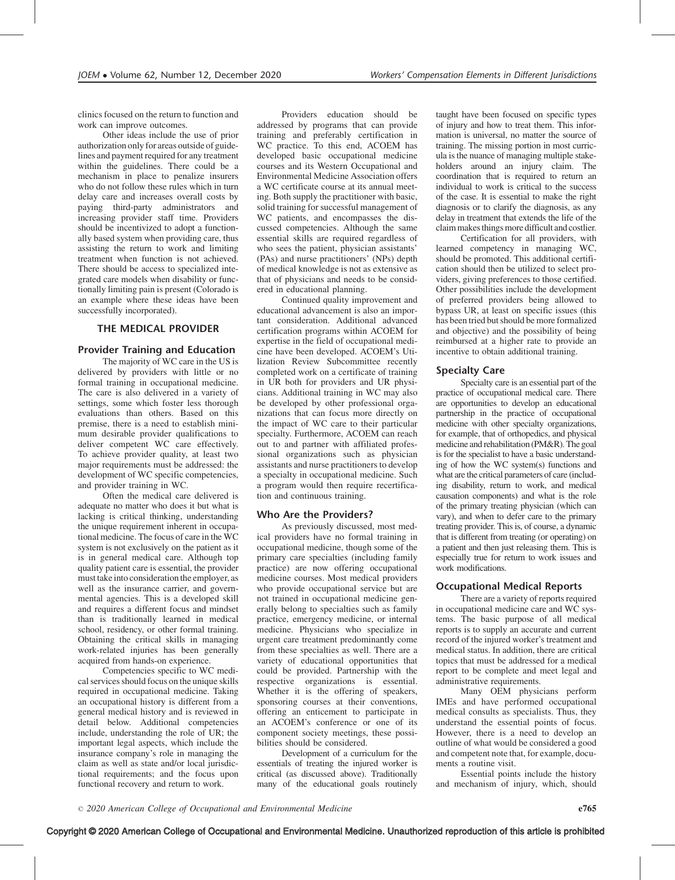clinics focused on the return to function and work can improve outcomes.

Other ideas include the use of prior authorization only for areas outside of guidelines and payment required for any treatment within the guidelines. There could be a mechanism in place to penalize insurers who do not follow these rules which in turn delay care and increases overall costs by paying third-party administrators and increasing provider staff time. Providers should be incentivized to adopt a functionally based system when providing care, thus assisting the return to work and limiting treatment when function is not achieved. There should be access to specialized integrated care models when disability or functionally limiting pain is present (Colorado is an example where these ideas have been successfully incorporated).

## THE MEDICAL PROVIDER

## Provider Training and Education

The majority of WC care in the US is delivered by providers with little or no formal training in occupational medicine. The care is also delivered in a variety of settings, some which foster less thorough evaluations than others. Based on this premise, there is a need to establish minimum desirable provider qualifications to deliver competent WC care effectively. To achieve provider quality, at least two major requirements must be addressed: the development of WC specific competencies, and provider training in WC.

Often the medical care delivered is adequate no matter who does it but what is lacking is critical thinking, understanding the unique requirement inherent in occupational medicine. The focus of care in the WC system is not exclusively on the patient as it is in general medical care. Although top quality patient care is essential, the provider must take into consideration the employer, as well as the insurance carrier, and governmental agencies. This is a developed skill and requires a different focus and mindset than is traditionally learned in medical school, residency, or other formal training. Obtaining the critical skills in managing work-related injuries has been generally acquired from hands-on experience.

Competencies specific to WC medical services should focus on the unique skills required in occupational medicine. Taking an occupational history is different from a general medical history and is reviewed in detail below. Additional competencies include, understanding the role of UR; the important legal aspects, which include the insurance company's role in managing the claim as well as state and/or local jurisdictional requirements; and the focus upon functional recovery and return to work.

Providers education should be addressed by programs that can provide training and preferably certification in WC practice. To this end, ACOEM has developed basic occupational medicine courses and its Western Occupational and Environmental Medicine Association offers a WC certificate course at its annual meeting. Both supply the practitioner with basic, solid training for successful management of WC patients, and encompasses the discussed competencies. Although the same essential skills are required regardless of who sees the patient, physician assistants' (PAs) and nurse practitioners' (NPs) depth of medical knowledge is not as extensive as that of physicians and needs to be considered in educational planning.

Continued quality improvement and educational advancement is also an important consideration. Additional advanced certification programs within ACOEM for expertise in the field of occupational medicine have been developed. ACOEM's Utilization Review Subcommittee recently completed work on a certificate of training in UR both for providers and UR physicians. Additional training in WC may also be developed by other professional organizations that can focus more directly on the impact of WC care to their particular specialty. Furthermore, ACOEM can reach out to and partner with affiliated professional organizations such as physician assistants and nurse practitioners to develop a specialty in occupational medicine. Such a program would then require recertification and continuous training.

## Who Are the Providers?

As previously discussed, most medical providers have no formal training in occupational medicine, though some of the primary care specialties (including family practice) are now offering occupational medicine courses. Most medical providers who provide occupational service but are not trained in occupational medicine generally belong to specialties such as family practice, emergency medicine, or internal medicine. Physicians who specialize in urgent care treatment predominantly come from these specialties as well. There are a variety of educational opportunities that could be provided. Partnership with the respective organizations is essential. Whether it is the offering of speakers, sponsoring courses at their conventions, offering an enticement to participate in an ACOEM's conference or one of its component society meetings, these possibilities should be considered.

Development of a curriculum for the essentials of treating the injured worker is critical (as discussed above). Traditionally many of the educational goals routinely taught have been focused on specific types of injury and how to treat them. This information is universal, no matter the source of training. The missing portion in most curricula is the nuance of managing multiple stakeholders around an injury claim. The coordination that is required to return an individual to work is critical to the success of the case. It is essential to make the right diagnosis or to clarify the diagnosis, as any delay in treatment that extends the life of the claim makesthings more difficult and costlier.

Certification for all providers, with learned competency in managing WC, should be promoted. This additional certification should then be utilized to select providers, giving preferences to those certified. Other possibilities include the development of preferred providers being allowed to bypass UR, at least on specific issues (this has been tried but should be more formalized and objective) and the possibility of being reimbursed at a higher rate to provide an incentive to obtain additional training.

## Specialty Care

Specialty care is an essential part of the practice of occupational medical care. There are opportunities to develop an educational partnership in the practice of occupational medicine with other specialty organizations, for example, that of orthopedics, and physical medicine and rehabilitation (PM&R). The goal is for the specialist to have a basic understanding of how the WC system(s) functions and what are the critical parameters of care (including disability, return to work, and medical causation components) and what is the role of the primary treating physician (which can vary), and when to defer care to the primary treating provider. This is, of course, a dynamic that is different from treating (or operating) on a patient and then just releasing them. This is especially true for return to work issues and work modifications.

## Occupational Medical Reports

There are a variety of reports required in occupational medicine care and WC systems. The basic purpose of all medical reports is to supply an accurate and current record of the injured worker's treatment and medical status. In addition, there are critical topics that must be addressed for a medical report to be complete and meet legal and administrative requirements.

Many OEM physicians perform IMEs and have performed occupational medical consults as specialists. Thus, they understand the essential points of focus. However, there is a need to develop an outline of what would be considered a good and competent note that, for example, documents a routine visit.

Essential points include the history and mechanism of injury, which, should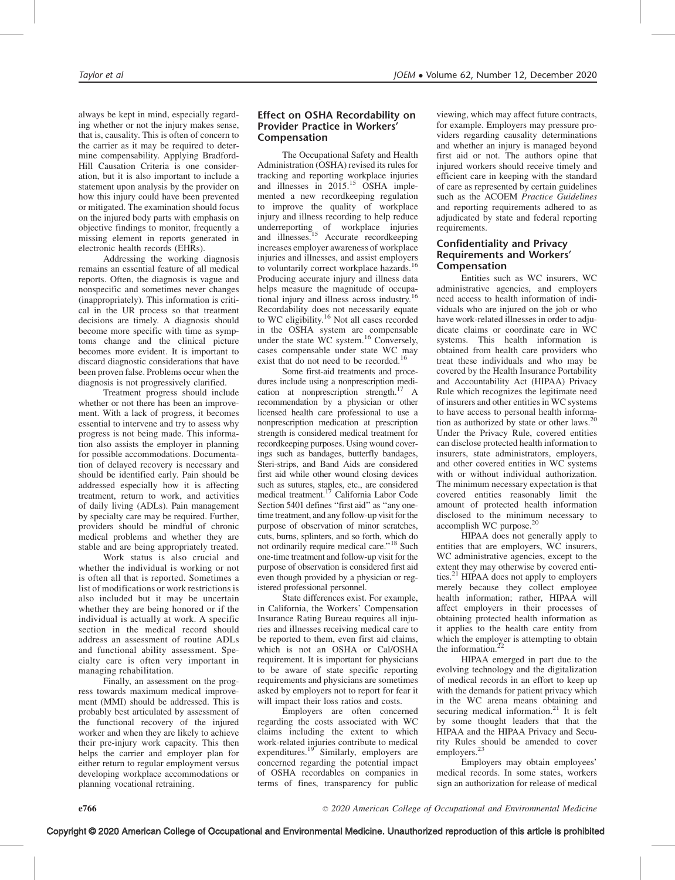always be kept in mind, especially regarding whether or not the injury makes sense, that is, causality. This is often of concern to the carrier as it may be required to determine compensability. Applying Bradford-Hill Causation Criteria is one consideration, but it is also important to include a statement upon analysis by the provider on how this injury could have been prevented or mitigated. The examination should focus on the injured body parts with emphasis on objective findings to monitor, frequently a missing element in reports generated in electronic health records (EHRs).

Addressing the working diagnosis remains an essential feature of all medical reports. Often, the diagnosis is vague and nonspecific and sometimes never changes (inappropriately). This information is critical in the UR process so that treatment decisions are timely. A diagnosis should become more specific with time as symptoms change and the clinical picture becomes more evident. It is important to discard diagnostic considerations that have been proven false. Problems occur when the diagnosis is not progressively clarified.

Treatment progress should include whether or not there has been an improvement. With a lack of progress, it becomes essential to intervene and try to assess why progress is not being made. This information also assists the employer in planning for possible accommodations. Documentation of delayed recovery is necessary and should be identified early. Pain should be addressed especially how it is affecting treatment, return to work, and activities of daily living (ADLs). Pain management by specialty care may be required. Further, providers should be mindful of chronic medical problems and whether they are stable and are being appropriately treated.

Work status is also crucial and whether the individual is working or not is often all that is reported. Sometimes a list of modifications or work restrictions is also included but it may be uncertain whether they are being honored or if the individual is actually at work. A specific section in the medical record should address an assessment of routine ADLs and functional ability assessment. Specialty care is often very important in managing rehabilitation.

Finally, an assessment on the progress towards maximum medical improvement (MMI) should be addressed. This is probably best articulated by assessment of the functional recovery of the injured worker and when they are likely to achieve their pre-injury work capacity. This then helps the carrier and employer plan for either return to regular employment versus developing workplace accommodations or planning vocational retraining.

## Effect on OSHA Recordability on Provider Practice in Workers' Compensation

The Occupational Safety and Health Administration (OSHA) revised its rules for tracking and reporting workplace injuries and illnesses in 2015.<sup>15</sup> OSHA implemented a new recordkeeping regulation to improve the quality of workplace injury and illness recording to help reduce underreporting of workplace injuries<br>and illnesses.<sup>15</sup> Accurate recordkeeping increases employer awareness of workplace injuries and illnesses, and assist employers to voluntarily correct workplace hazards.<sup>16</sup> Producing accurate injury and illness data helps measure the magnitude of occupational injury and illness across industry.16 Recordability does not necessarily equate to WC eligibility.<sup>16</sup> Not all cases recorded in the OSHA system are compensable under the state WC system.<sup>16</sup> Conversely, cases compensable under state WC may exist that do not need to be recorded.<sup>16</sup>

Some first-aid treatments and procedures include using a nonprescription medication at nonprescription strength.<sup>17</sup> A recommendation by a physician or other licensed health care professional to use a nonprescription medication at prescription strength is considered medical treatment for recordkeeping purposes. Using wound coverings such as bandages, butterfly bandages, Steri-strips, and Band Aids are considered first aid while other wound closing devices such as sutures, staples, etc., are considered<br>medical treatment.<sup>17</sup> California Labor Code Section 5401 defines "first aid" as "any onetime treatment, and any follow-up visit for the purpose of observation of minor scratches, cuts, burns, splinters, and so forth, which do not ordinarily require medical care.''18 Such one-time treatment and follow-up visit for the purpose of observation is considered first aid even though provided by a physician or registered professional personnel.

State differences exist. For example, in California, the Workers' Compensation Insurance Rating Bureau requires all injuries and illnesses receiving medical care to be reported to them, even first aid claims, which is not an OSHA or Cal/OSHA requirement. It is important for physicians to be aware of state specific reporting requirements and physicians are sometimes asked by employers not to report for fear it will impact their loss ratios and costs.

Employers are often concerned regarding the costs associated with WC claims including the extent to which work-related injuries contribute to medical expenditures. $19$ <sup>S</sup> Similarly, employers are concerned regarding the potential impact of OSHA recordables on companies in terms of fines, transparency for public

viewing, which may affect future contracts, for example. Employers may pressure providers regarding causality determinations and whether an injury is managed beyond first aid or not. The authors opine that injured workers should receive timely and efficient care in keeping with the standard of care as represented by certain guidelines such as the ACOEM Practice Guidelines and reporting requirements adhered to as adjudicated by state and federal reporting requirements.

## Confidentiality and Privacy Requirements and Workers' Compensation

Entities such as WC insurers, WC administrative agencies, and employers need access to health information of individuals who are injured on the job or who have work-related illnesses in order to adjudicate claims or coordinate care in WC systems. This health information is obtained from health care providers who treat these individuals and who may be covered by the Health Insurance Portability and Accountability Act (HIPAA) Privacy Rule which recognizes the legitimate need of insurers and other entities in WC systems to have access to personal health information as authorized by state or other laws.20 Under the Privacy Rule, covered entities can disclose protected health information to insurers, state administrators, employers, and other covered entities in WC systems with or without individual authorization. The minimum necessary expectation is that covered entities reasonably limit the amount of protected health information disclosed to the minimum necessary to accomplish WC purpose.<sup>20</sup>

HIPAA does not generally apply to entities that are employers, WC insurers, WC administrative agencies, except to the extent they may otherwise by covered entities.21 HIPAA does not apply to employers merely because they collect employee health information; rather, HIPAA will affect employers in their processes of obtaining protected health information as it applies to the health care entity from which the employer is attempting to obtain the information. $^{22}$ 

HIPAA emerged in part due to the evolving technology and the digitalization of medical records in an effort to keep up with the demands for patient privacy which in the WC arena means obtaining and securing medical information. $21$  It is felt by some thought leaders that that the HIPAA and the HIPAA Privacy and Security Rules should be amended to cover employers.<sup>23</sup>

Employers may obtain employees' medical records. In some states, workers sign an authorization for release of medical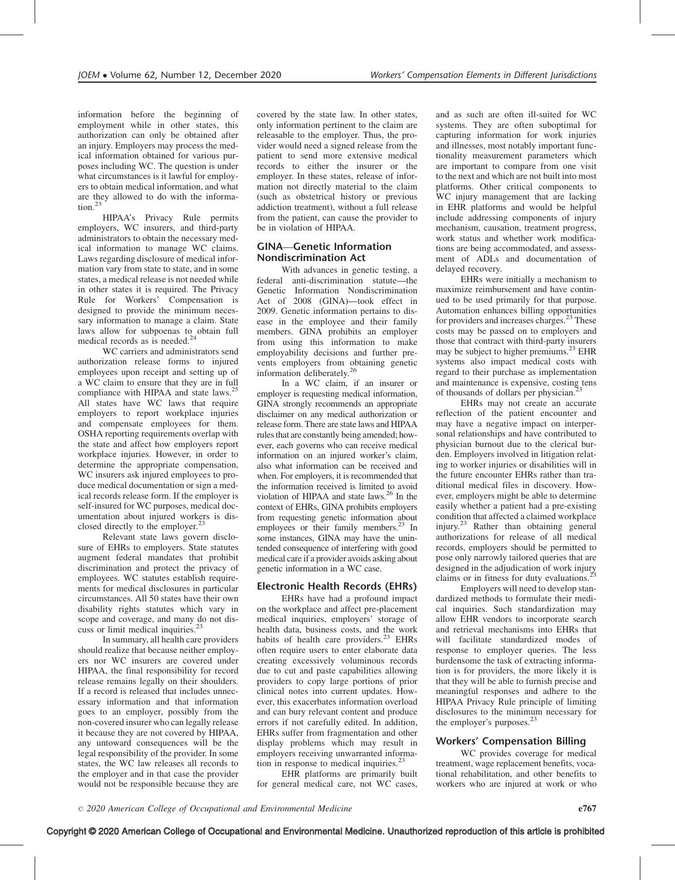information before the beginning of employment while in other states, this authorization can only be obtained after an injury. Employers may process the medical information obtained for various purposes including WC. The question is under what circumstances is it lawful for employers to obtain medical information, and what are they allowed to do with the information.<sup>23</sup>

HIPAA's Privacy Rule permits employers, WC insurers, and third-party administrators to obtain the necessary medical information to manage WC claims. Laws regarding disclosure of medical information vary from state to state, and in some states, a medical release is not needed while in other states it is required. The Privacy Rule for Workers' Compensation is designed to provide the minimum necessary information to manage a claim. State laws allow for subpoenas to obtain full medical records as is needed.<sup>24</sup>

WC carriers and administrators send authorization release forms to injured employees upon receipt and setting up of a WC claim to ensure that they are in full compliance with HIPAA and state laws.<sup>25</sup> All states have WC laws that require employers to report workplace injuries and compensate employees for them. OSHA reporting requirements overlap with the state and affect how employers report workplace injuries. However, in order to determine the appropriate compensation, WC insurers ask injured employees to produce medical documentation or sign a medical records release form. If the employer is self-insured for WC purposes, medical documentation about injured workers is disclosed directly to the employer.<sup>2</sup>

Relevant state laws govern disclosure of EHRs to employers. State statutes augment federal mandates that prohibit discrimination and protect the privacy of employees. WC statutes establish requirements for medical disclosures in particular circumstances. All 50 states have their own disability rights statutes which vary in scope and coverage, and many do not discuss or limit medical inquiries.<sup>2</sup>

In summary, all health care providers should realize that because neither employers nor WC insurers are covered under HIPAA, the final responsibility for record release remains legally on their shoulders. If a record is released that includes unnecessary information and that information goes to an employer, possibly from the non-covered insurer who can legally release it because they are not covered by HIPAA, any untoward consequences will be the legal responsibility of the provider. In some states, the WC law releases all records to the employer and in that case the provider would not be responsible because they are covered by the state law. In other states, only information pertinent to the claim are releasable to the employer. Thus, the provider would need a signed release from the patient to send more extensive medical records to either the insurer or the employer. In these states, release of information not directly material to the claim (such as obstetrical history or previous addiction treatment), without a full release from the patient, can cause the provider to be in violation of HIPAA.

## GINA—Genetic Information Nondiscrimination Act

With advances in genetic testing, a federal anti-discrimination statute—the Genetic Information Nondiscrimination Act of 2008 (GINA)—took effect in 2009. Genetic information pertains to disease in the employee and their family members. GINA prohibits an employer from using this information to make employability decisions and further prevents employers from obtaining genetic information deliberately.<sup>26</sup>

In a WC claim, if an insurer or employer is requesting medical information, GINA strongly recommends an appropriate disclaimer on any medical authorization or release form. There are state laws and HIPAA rules that are constantly being amended; however, each governs who can receive medical information on an injured worker's claim, also what information can be received and when. For employers, it is recommended that the information received is limited to avoid violation of HIPAA and state laws. $^{26}$  In the context of EHRs, GINA prohibits employers from requesting genetic information about employees or their family members.<sup>23</sup> In some instances, GINA may have the unintended consequence of interfering with good medical care if a provider avoids asking about genetic information in a WC case.

## Electronic Health Records (EHRs)

EHRs have had a profound impact on the workplace and affect pre-placement medical inquiries, employers' storage of health data, business costs, and the work habits of health care providers.<sup>23</sup> EHRs often require users to enter elaborate data creating excessively voluminous records due to cut and paste capabilities allowing providers to copy large portions of prior clinical notes into current updates. However, this exacerbates information overload and can bury relevant content and produce errors if not carefully edited. In addition, EHRs suffer from fragmentation and other display problems which may result in employers receiving unwarranted information in response to medical inquiries. $<sup>2</sup>$ </sup>

EHR platforms are primarily built for general medical care, not WC cases, and as such are often ill-suited for WC systems. They are often suboptimal for capturing information for work injuries and illnesses, most notably important functionality measurement parameters which are important to compare from one visit to the next and which are not built into most platforms. Other critical components to WC injury management that are lacking in EHR platforms and would be helpful include addressing components of injury mechanism, causation, treatment progress, work status and whether work modifications are being accommodated, and assessment of ADLs and documentation of delayed recovery.

EHRs were initially a mechanism to maximize reimbursement and have continued to be used primarily for that purpose. Automation enhances billing opportunities for providers and increases charges.<sup>23</sup> These costs may be passed on to employers and those that contract with third-party insurers may be subject to higher premiums.<sup>23</sup> EHR systems also impact medical costs with regard to their purchase as implementation and maintenance is expensive, costing tens of thousands of dollars per physician.<sup>2</sup>

EHRs may not create an accurate reflection of the patient encounter and may have a negative impact on interpersonal relationships and have contributed to physician burnout due to the clerical burden. Employers involved in litigation relating to worker injuries or disabilities will in the future encounter EHRs rather than traditional medical files in discovery. However, employers might be able to determine easily whether a patient had a pre-existing condition that affected a claimed workplace injury.<sup>23</sup> Rather than obtaining general authorizations for release of all medical records, employers should be permitted to pose only narrowly tailored queries that are designed in the adjudication of work injury claims or in fitness for duty evaluations.<sup>23</sup>

Employers will need to develop standardized methods to formulate their medical inquiries. Such standardization may allow EHR vendors to incorporate search and retrieval mechanisms into EHRs that will facilitate standardized modes of response to employer queries. The less burdensome the task of extracting information is for providers, the more likely it is that they will be able to furnish precise and meaningful responses and adhere to the HIPAA Privacy Rule principle of limiting disclosures to the minimum necessary for the employer's purposes. $23$ 

## Workers' Compensation Billing

WC provides coverage for medical treatment, wage replacement benefits, vocational rehabilitation, and other benefits to workers who are injured at work or who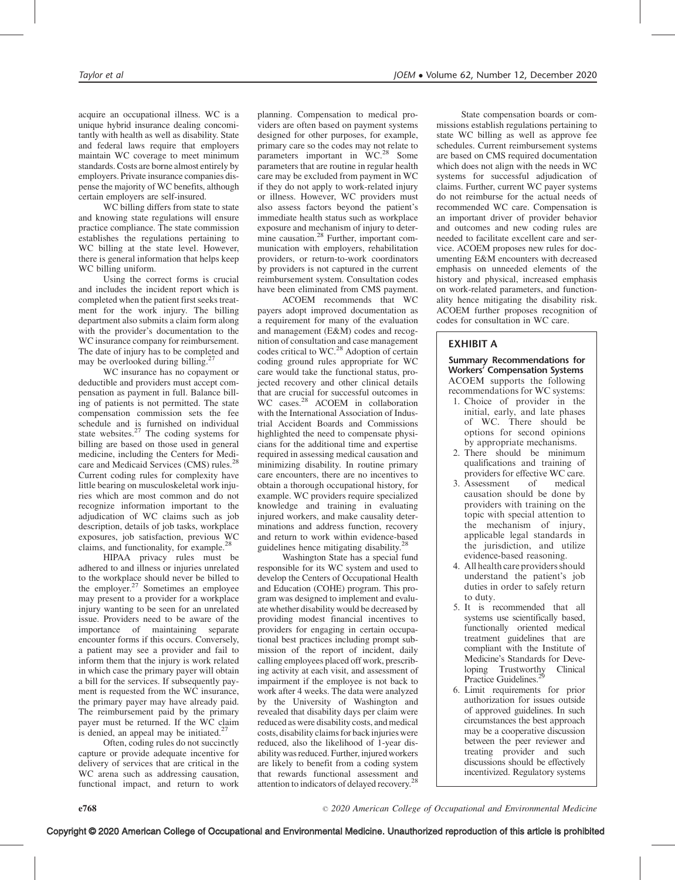acquire an occupational illness. WC is a unique hybrid insurance dealing concomitantly with health as well as disability. State and federal laws require that employers maintain WC coverage to meet minimum standards. Costs are borne almost entirely by employers. Private insurance companies dispense the majority of WC benefits, although certain employers are self-insured.

WC billing differs from state to state and knowing state regulations will ensure practice compliance. The state commission establishes the regulations pertaining to WC billing at the state level. However, there is general information that helps keep WC billing uniform.

Using the correct forms is crucial and includes the incident report which is completed when the patient first seeks treatment for the work injury. The billing department also submits a claim form along with the provider's documentation to the WC insurance company for reimbursement. The date of injury has to be completed and may be overlooked during billing.<sup>27</sup>

WC insurance has no copayment or deductible and providers must accept compensation as payment in full. Balance billing of patients is not permitted. The state compensation commission sets the fee schedule and is furnished on individual state websites. $27$  The coding systems for billing are based on those used in general medicine, including the Centers for Medicare and Medicaid Services (CMS) rules.<sup>2</sup> Current coding rules for complexity have little bearing on musculoskeletal work injuries which are most common and do not recognize information important to the adjudication of WC claims such as job description, details of job tasks, workplace exposures, job satisfaction, previous WC claims, and functionality, for example.<sup>28</sup>

HIPAA privacy rules must be adhered to and illness or injuries unrelated to the workplace should never be billed to the employer. $27$  Sometimes an employee may present to a provider for a workplace injury wanting to be seen for an unrelated issue. Providers need to be aware of the importance of maintaining separate encounter forms if this occurs. Conversely, a patient may see a provider and fail to inform them that the injury is work related in which case the primary payer will obtain a bill for the services. If subsequently payment is requested from the WC insurance, the primary payer may have already paid. The reimbursement paid by the primary payer must be returned. If the WC claim is denied, an appeal may be initiated.<sup>27</sup>

Often, coding rules do not succinctly capture or provide adequate incentive for delivery of services that are critical in the WC arena such as addressing causation, functional impact, and return to work planning. Compensation to medical providers are often based on payment systems designed for other purposes, for example, primary care so the codes may not relate to parameters important in WC.28 Some parameters that are routine in regular health care may be excluded from payment in WC if they do not apply to work-related injury or illness. However, WC providers must also assess factors beyond the patient's immediate health status such as workplace exposure and mechanism of injury to determine causation.<sup>28</sup> Further, important communication with employers, rehabilitation providers, or return-to-work coordinators by providers is not captured in the current reimbursement system. Consultation codes have been eliminated from CMS payment.

ACOEM recommends that WC payers adopt improved documentation as a requirement for many of the evaluation and management (E&M) codes and recognition of consultation and case management codes critical to WC.<sup>28</sup> Adoption of certain coding ground rules appropriate for WC care would take the functional status, projected recovery and other clinical details that are crucial for successful outcomes in WC cases.<sup>28</sup> ACOEM in collaboration with the International Association of Industrial Accident Boards and Commissions highlighted the need to compensate physicians for the additional time and expertise required in assessing medical causation and minimizing disability. In routine primary care encounters, there are no incentives to obtain a thorough occupational history, for example. WC providers require specialized knowledge and training in evaluating injured workers, and make causality determinations and address function, recovery and return to work within evidence-based guidelines hence mitigating disability.<sup>28</sup>

Washington State has a special fund responsible for its WC system and used to develop the Centers of Occupational Health and Education (COHE) program. This program was designed to implement and evaluate whether disability would be decreased by providing modest financial incentives to providers for engaging in certain occupational best practices including prompt submission of the report of incident, daily calling employees placed off work, prescribing activity at each visit, and assessment of impairment if the employee is not back to work after 4 weeks. The data were analyzed by the University of Washington and revealed that disability days per claim were reduced as were disability costs, and medical costs, disability claims for back injuries were reduced, also the likelihood of 1-year disability was reduced. Further, injured workers are likely to benefit from a coding system that rewards functional assessment and attention to indicators of delayed recovery.28

State compensation boards or commissions establish regulations pertaining to state WC billing as well as approve fee schedules. Current reimbursement systems are based on CMS required documentation which does not align with the needs in WC systems for successful adjudication of claims. Further, current WC payer systems do not reimburse for the actual needs of recommended WC care. Compensation is an important driver of provider behavior and outcomes and new coding rules are needed to facilitate excellent care and service. ACOEM proposes new rules for documenting E&M encounters with decreased emphasis on unneeded elements of the history and physical, increased emphasis on work-related parameters, and functionality hence mitigating the disability risk. ACOEM further proposes recognition of codes for consultation in WC care.

# EXHIBIT A

Summary Recommendations for Workers' Compensation Systems ACOEM supports the following recommendations for WC systems:

- 1. Choice of provider in the initial, early, and late phases of WC. There should be options for second opinions by appropriate mechanisms.
- 2. There should be minimum qualifications and training of providers for effective WC care.
- 3. Assessment of medical causation should be done by providers with training on the topic with special attention to the mechanism of injury, applicable legal standards in the jurisdiction, and utilize evidence-based reasoning.
- 4. All health care providers should understand the patient's job duties in order to safely return to duty.
- 5. It is recommended that all systems use scientifically based, functionally oriented medical treatment guidelines that are compliant with the Institute of Medicine's Standards for Developing Trustworthy Clinical Practice Guidelines.<sup>2</sup>
- 6. Limit requirements for prior authorization for issues outside of approved guidelines. In such circumstances the best approach may be a cooperative discussion between the peer reviewer and treating provider and such discussions should be effectively incentivized. Regulatory systems